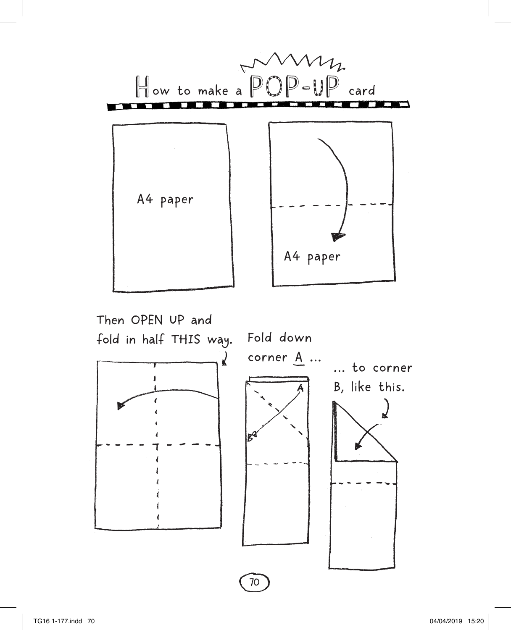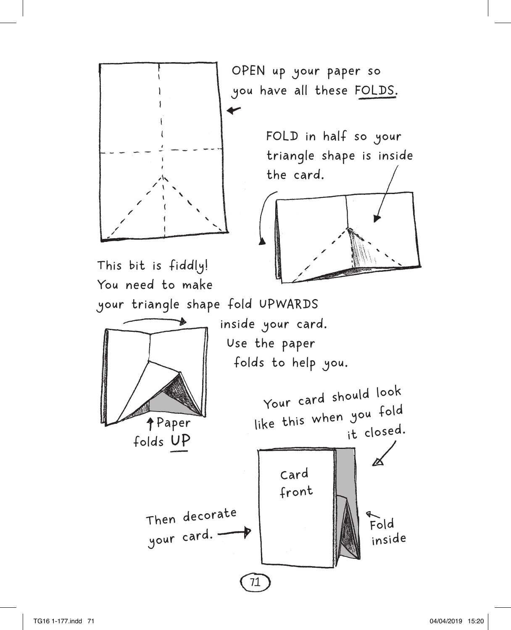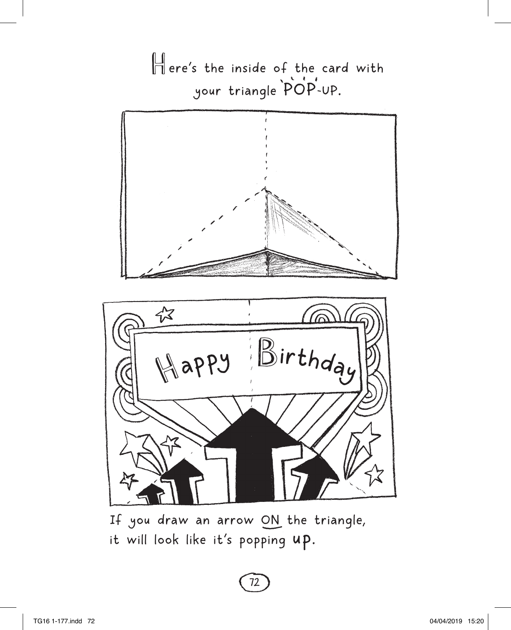Here's the inside of the card with your triangle POP-UP.



If you draw an arrow ON the triangle, it will look like it's popping up.